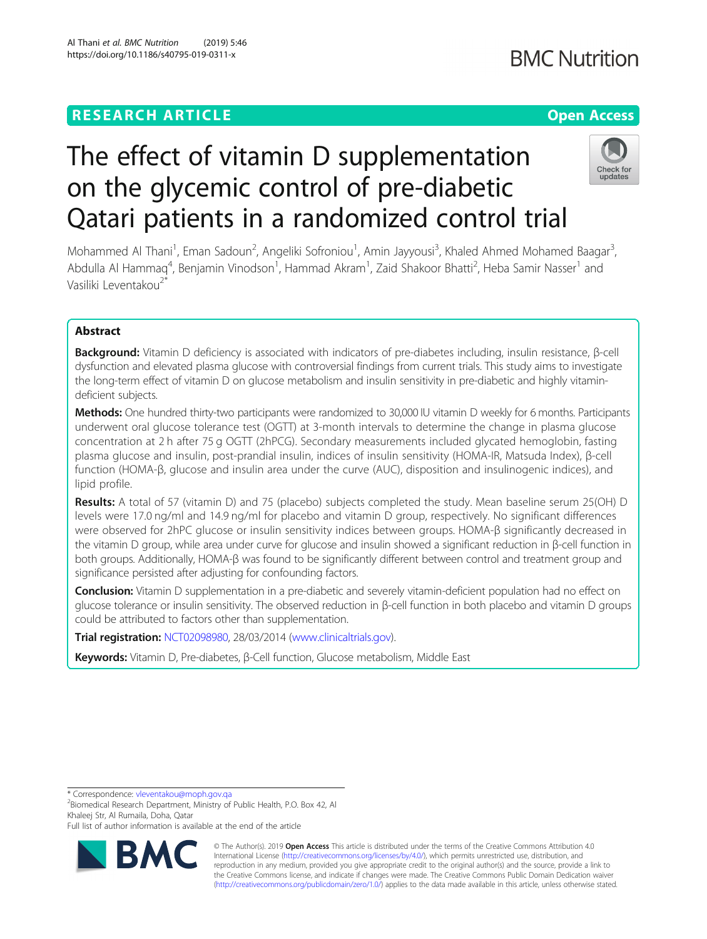# **RESEARCH ARTICLE Example 2014 12:30 The Contract of Contract ACCESS** The effect of vitamin D supplementation on the glycemic control of pre-diabetic

Qatari patients in a randomized control trial Mohammed Al Thani<sup>1</sup>, Eman Sadoun<sup>2</sup>, Angeliki Sofroniou<sup>1</sup>, Amin Jayyousi<sup>3</sup>, Khaled Ahmed Mohamed Baagar<sup>3</sup> Abdulla Al Hammaq<sup>4</sup>, Benjamin Vinodson<sup>1</sup>, Hammad Akram<sup>1</sup>, Zaid Shakoor Bhatti<sup>2</sup>, Heba Samir Nasser<sup>1</sup> and Vasiliki Leventakou<sup>2</sup>

# Abstract

Background: Vitamin D deficiency is associated with indicators of pre-diabetes including, insulin resistance, β-cell dysfunction and elevated plasma glucose with controversial findings from current trials. This study aims to investigate the long-term effect of vitamin D on glucose metabolism and insulin sensitivity in pre-diabetic and highly vitamindeficient subjects.

Methods: One hundred thirty-two participants were randomized to 30,000 IU vitamin D weekly for 6 months. Participants underwent oral glucose tolerance test (OGTT) at 3-month intervals to determine the change in plasma glucose concentration at 2 h after 75 g OGTT (2hPCG). Secondary measurements included glycated hemoglobin, fasting plasma glucose and insulin, post-prandial insulin, indices of insulin sensitivity (HOMA-IR, Matsuda Index), β-cell function (HOMA-β, glucose and insulin area under the curve (AUC), disposition and insulinogenic indices), and lipid profile.

Results: A total of 57 (vitamin D) and 75 (placebo) subjects completed the study. Mean baseline serum 25(OH) D levels were 17.0 ng/ml and 14.9 ng/ml for placebo and vitamin D group, respectively. No significant differences were observed for 2hPC glucose or insulin sensitivity indices between groups. HOMA-β significantly decreased in the vitamin D group, while area under curve for glucose and insulin showed a significant reduction in β-cell function in both groups. Additionally, HOMA-β was found to be significantly different between control and treatment group and significance persisted after adjusting for confounding factors.

Conclusion: Vitamin D supplementation in a pre-diabetic and severely vitamin-deficient population had no effect on glucose tolerance or insulin sensitivity. The observed reduction in β-cell function in both placebo and vitamin D groups could be attributed to factors other than supplementation.

Trial registration: [NCT02098980](https://clinicaltrials.gov/ct2/results?cond=&term=NCT02098980&cntry=&state=&city=&dist=), 28/03/2014 [\(www.clinicaltrials.gov](http://www.clinicaltrials.gov)).

Keywords: Vitamin D, Pre-diabetes, β-Cell function, Glucose metabolism, Middle East

\* Correspondence: [vleventakou@moph.gov.qa](mailto:vleventakou@moph.gov.qa) <sup>2</sup>

<sup>2</sup>Biomedical Research Department, Ministry of Public Health, P.O. Box 42, Al Khaleej Str, Al Rumaila, Doha, Qatar

Full list of author information is available at the end of the article





,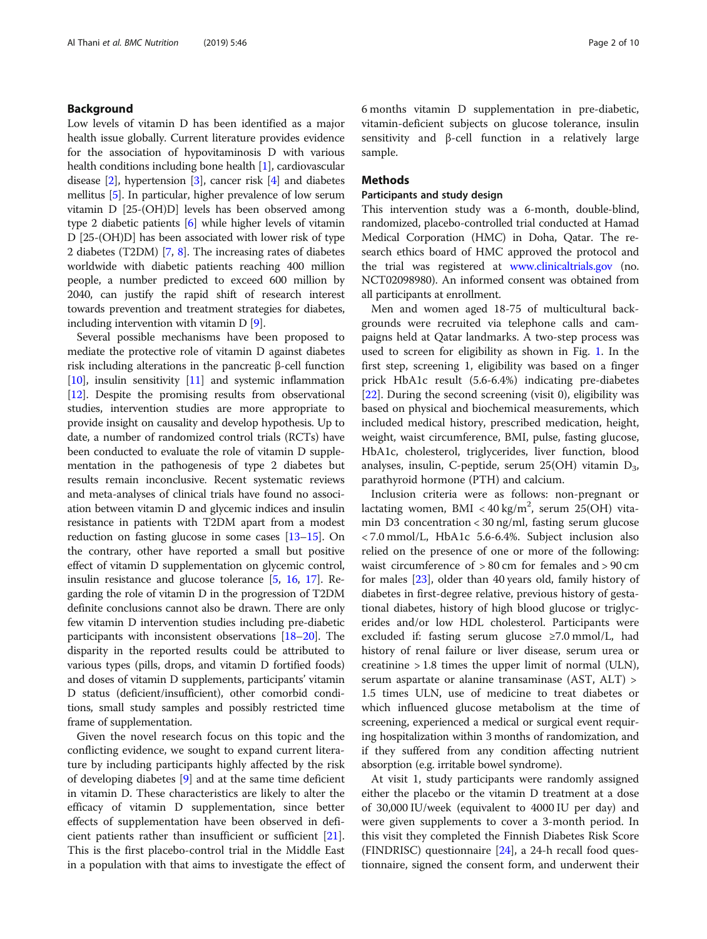# Background

Low levels of vitamin D has been identified as a major health issue globally. Current literature provides evidence for the association of hypovitaminosis D with various health conditions including bone health [[1\]](#page-8-0), cardiovascular disease [\[2](#page-8-0)], hypertension [\[3](#page-8-0)], cancer risk [\[4](#page-8-0)] and diabetes mellitus [[5](#page-8-0)]. In particular, higher prevalence of low serum vitamin D [25-(OH)D] levels has been observed among type 2 diabetic patients [\[6](#page-8-0)] while higher levels of vitamin D [25-(OH)D] has been associated with lower risk of type 2 diabetes (T2DM) [[7](#page-8-0), [8](#page-8-0)]. The increasing rates of diabetes worldwide with diabetic patients reaching 400 million people, a number predicted to exceed 600 million by 2040, can justify the rapid shift of research interest towards prevention and treatment strategies for diabetes, including intervention with vitamin D [[9\]](#page-8-0).

Several possible mechanisms have been proposed to mediate the protective role of vitamin D against diabetes risk including alterations in the pancreatic β-cell function  $[10]$  $[10]$  $[10]$ , insulin sensitivity  $[11]$  $[11]$  $[11]$  and systemic inflammation [[12](#page-8-0)]. Despite the promising results from observational studies, intervention studies are more appropriate to provide insight on causality and develop hypothesis. Up to date, a number of randomized control trials (RCTs) have been conducted to evaluate the role of vitamin D supplementation in the pathogenesis of type 2 diabetes but results remain inconclusive. Recent systematic reviews and meta-analyses of clinical trials have found no association between vitamin D and glycemic indices and insulin resistance in patients with T2DM apart from a modest reduction on fasting glucose in some cases [\[13](#page-8-0)–[15](#page-8-0)]. On the contrary, other have reported a small but positive effect of vitamin D supplementation on glycemic control, insulin resistance and glucose tolerance [[5,](#page-8-0) [16,](#page-8-0) [17](#page-8-0)]. Regarding the role of vitamin D in the progression of T2DM definite conclusions cannot also be drawn. There are only few vitamin D intervention studies including pre-diabetic participants with inconsistent observations [[18](#page-8-0)–[20\]](#page-8-0). The disparity in the reported results could be attributed to various types (pills, drops, and vitamin D fortified foods) and doses of vitamin D supplements, participants' vitamin D status (deficient/insufficient), other comorbid conditions, small study samples and possibly restricted time frame of supplementation.

Given the novel research focus on this topic and the conflicting evidence, we sought to expand current literature by including participants highly affected by the risk of developing diabetes [\[9](#page-8-0)] and at the same time deficient in vitamin D. These characteristics are likely to alter the efficacy of vitamin D supplementation, since better effects of supplementation have been observed in deficient patients rather than insufficient or sufficient [\[21](#page-8-0)]. This is the first placebo-control trial in the Middle East in a population with that aims to investigate the effect of 6 months vitamin D supplementation in pre-diabetic, vitamin-deficient subjects on glucose tolerance, insulin sensitivity and β-cell function in a relatively large sample.

# Methods

# Participants and study design

This intervention study was a 6-month, double-blind, randomized, placebo-controlled trial conducted at Hamad Medical Corporation (HMC) in Doha, Qatar. The research ethics board of HMC approved the protocol and the trial was registered at [www.clinicaltrials.gov](http://www.clinicaltrials.gov) (no. NCT02098980). An informed consent was obtained from all participants at enrollment.

Men and women aged 18-75 of multicultural backgrounds were recruited via telephone calls and campaigns held at Qatar landmarks. A two-step process was used to screen for eligibility as shown in Fig. [1](#page-2-0). In the first step, screening 1, eligibility was based on a finger prick HbA1c result (5.6-6.4%) indicating pre-diabetes [[22\]](#page-8-0). During the second screening (visit 0), eligibility was based on physical and biochemical measurements, which included medical history, prescribed medication, height, weight, waist circumference, BMI, pulse, fasting glucose, HbA1c, cholesterol, triglycerides, liver function, blood analyses, insulin, C-peptide, serum  $25(OH)$  vitamin  $D_3$ , parathyroid hormone (PTH) and calcium.

Inclusion criteria were as follows: non-pregnant or lactating women, BMI <  $40 \text{ kg/m}^2$ , serum 25(OH) vitamin D3 concentration < 30 ng/ml, fasting serum glucose < 7.0 mmol/L, HbA1c 5.6-6.4%. Subject inclusion also relied on the presence of one or more of the following: waist circumference of > 80 cm for females and > 90 cm for males [\[23\]](#page-8-0), older than 40 years old, family history of diabetes in first-degree relative, previous history of gestational diabetes, history of high blood glucose or triglycerides and/or low HDL cholesterol. Participants were excluded if: fasting serum glucose ≥7.0 mmol/L, had history of renal failure or liver disease, serum urea or creatinine > 1.8 times the upper limit of normal (ULN), serum aspartate or alanine transaminase (AST, ALT) > 1.5 times ULN, use of medicine to treat diabetes or which influenced glucose metabolism at the time of screening, experienced a medical or surgical event requiring hospitalization within 3 months of randomization, and if they suffered from any condition affecting nutrient absorption (e.g. irritable bowel syndrome).

At visit 1, study participants were randomly assigned either the placebo or the vitamin D treatment at a dose of 30,000 IU/week (equivalent to 4000 IU per day) and were given supplements to cover a 3-month period. In this visit they completed the Finnish Diabetes Risk Score (FINDRISC) questionnaire [[24](#page-8-0)], a 24-h recall food questionnaire, signed the consent form, and underwent their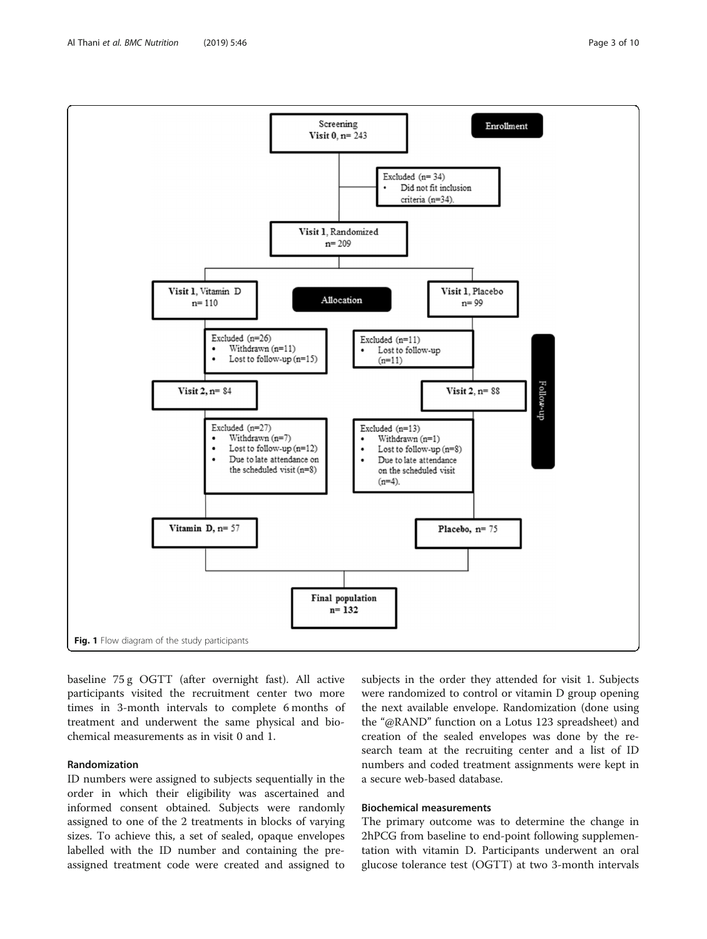baseline 75 g OGTT (after overnight fast). All active participants visited the recruitment center two more times in 3-month intervals to complete 6 months of treatment and underwent the same physical and biochemical measurements as in visit 0 and 1.

# Randomization

ID numbers were assigned to subjects sequentially in the order in which their eligibility was ascertained and informed consent obtained. Subjects were randomly assigned to one of the 2 treatments in blocks of varying sizes. To achieve this, a set of sealed, opaque envelopes labelled with the ID number and containing the preassigned treatment code were created and assigned to

subjects in the order they attended for visit 1. Subjects were randomized to control or vitamin D group opening the next available envelope. Randomization (done using the "@RAND" function on a Lotus 123 spreadsheet) and creation of the sealed envelopes was done by the research team at the recruiting center and a list of ID numbers and coded treatment assignments were kept in a secure web-based database.

# Biochemical measurements

The primary outcome was to determine the change in 2hPCG from baseline to end-point following supplementation with vitamin D. Participants underwent an oral glucose tolerance test (OGTT) at two 3-month intervals

<span id="page-2-0"></span>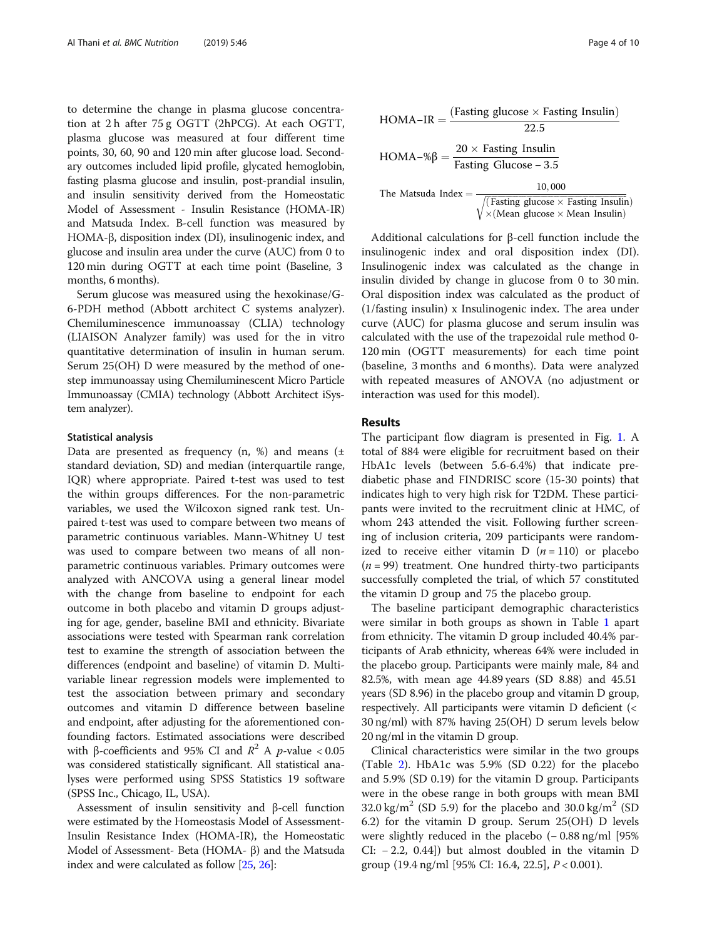to determine the change in plasma glucose concentration at 2 h after 75 g OGTT (2hPCG). At each OGTT, plasma glucose was measured at four different time points, 30, 60, 90 and 120 min after glucose load. Secondary outcomes included lipid profile, glycated hemoglobin, fasting plasma glucose and insulin, post-prandial insulin, and insulin sensitivity derived from the Homeostatic Model of Assessment - Insulin Resistance (HOMA-IR) and Matsuda Index. B-cell function was measured by HOMA-β, disposition index (DI), insulinogenic index, and glucose and insulin area under the curve (AUC) from 0 to 120 min during OGTT at each time point (Baseline, 3 months, 6 months).

Serum glucose was measured using the hexokinase/G-6-PDH method (Abbott architect C systems analyzer). Chemiluminescence immunoassay (CLIA) technology (LIAISON Analyzer family) was used for the in vitro quantitative determination of insulin in human serum. Serum 25(OH) D were measured by the method of onestep immunoassay using Chemiluminescent Micro Particle Immunoassay (CMIA) technology (Abbott Architect iSystem analyzer).

## Statistical analysis

Data are presented as frequency (n, %) and means (± standard deviation, SD) and median (interquartile range, IQR) where appropriate. Paired t-test was used to test the within groups differences. For the non-parametric variables, we used the Wilcoxon signed rank test. Unpaired t-test was used to compare between two means of parametric continuous variables. Mann-Whitney U test was used to compare between two means of all nonparametric continuous variables. Primary outcomes were analyzed with ANCOVA using a general linear model with the change from baseline to endpoint for each outcome in both placebo and vitamin D groups adjusting for age, gender, baseline BMI and ethnicity. Bivariate associations were tested with Spearman rank correlation test to examine the strength of association between the differences (endpoint and baseline) of vitamin D. Multivariable linear regression models were implemented to test the association between primary and secondary outcomes and vitamin D difference between baseline and endpoint, after adjusting for the aforementioned confounding factors. Estimated associations were described with β-coefficients and 95% CI and  $R^2$  A *p*-value < 0.05 was considered statistically significant. All statistical analyses were performed using SPSS Statistics 19 software (SPSS Inc., Chicago, IL, USA).

Assessment of insulin sensitivity and β-cell function were estimated by the Homeostasis Model of Assessment-Insulin Resistance Index (HOMA-IR), the Homeostatic Model of Assessment- Beta (HOMA- β) and the Matsuda index and were calculated as follow [[25](#page-8-0), [26\]](#page-8-0):

$$
HOMA-IR = \frac{(\text{Fasting glucose} \times \text{Fasting Insulin})}{22.5}
$$

$$
HOMA-%β = \frac{20 \times \text{Fasting Insulin}}{\text{Fasting Glucose} - 3.5}
$$

$$
The Matsuda Index = \frac{10,000}{\sqrt{(\text{Fasting glucose} \times \text{Fasting Insulin})}}
$$

 $\times$ (Mean glucose  $\times$  Mean Insulin)

Additional calculations for β-cell function include the insulinogenic index and oral disposition index (DI). Insulinogenic index was calculated as the change in insulin divided by change in glucose from 0 to 30 min. Oral disposition index was calculated as the product of (1/fasting insulin) x Insulinogenic index. The area under curve (AUC) for plasma glucose and serum insulin was calculated with the use of the trapezoidal rule method 0- 120 min (OGTT measurements) for each time point (baseline, 3 months and 6 months). Data were analyzed with repeated measures of ANOVA (no adjustment or interaction was used for this model).

# Results

The participant flow diagram is presented in Fig. [1.](#page-2-0) A total of 884 were eligible for recruitment based on their HbA1c levels (between 5.6-6.4%) that indicate prediabetic phase and FINDRISC score (15-30 points) that indicates high to very high risk for T2DM. These participants were invited to the recruitment clinic at HMC, of whom 243 attended the visit. Following further screening of inclusion criteria, 209 participants were randomized to receive either vitamin D  $(n = 110)$  or placebo  $(n = 99)$  treatment. One hundred thirty-two participants successfully completed the trial, of which 57 constituted the vitamin D group and 75 the placebo group.

The baseline participant demographic characteristics were similar in both groups as shown in Table [1](#page-4-0) apart from ethnicity. The vitamin D group included 40.4% participants of Arab ethnicity, whereas 64% were included in the placebo group. Participants were mainly male, 84 and 82.5%, with mean age 44.89 years (SD 8.88) and 45.51 years (SD 8.96) in the placebo group and vitamin D group, respectively. All participants were vitamin D deficient (< 30 ng/ml) with 87% having 25(OH) D serum levels below 20 ng/ml in the vitamin D group.

Clinical characteristics were similar in the two groups (Table [2\)](#page-5-0). HbA1c was 5.9% (SD 0.22) for the placebo and 5.9% (SD 0.19) for the vitamin D group. Participants were in the obese range in both groups with mean BMI 32.0 kg/m<sup>2</sup> (SD 5.9) for the placebo and 30.0 kg/m<sup>2</sup> (SD 6.2) for the vitamin D group. Serum 25(OH) D levels were slightly reduced in the placebo (−0.88 ng/ml [95% CI: − 2.2, 0.44]) but almost doubled in the vitamin D group (19.4 ng/ml [95% CI: 16.4, 22.5], P < 0.001).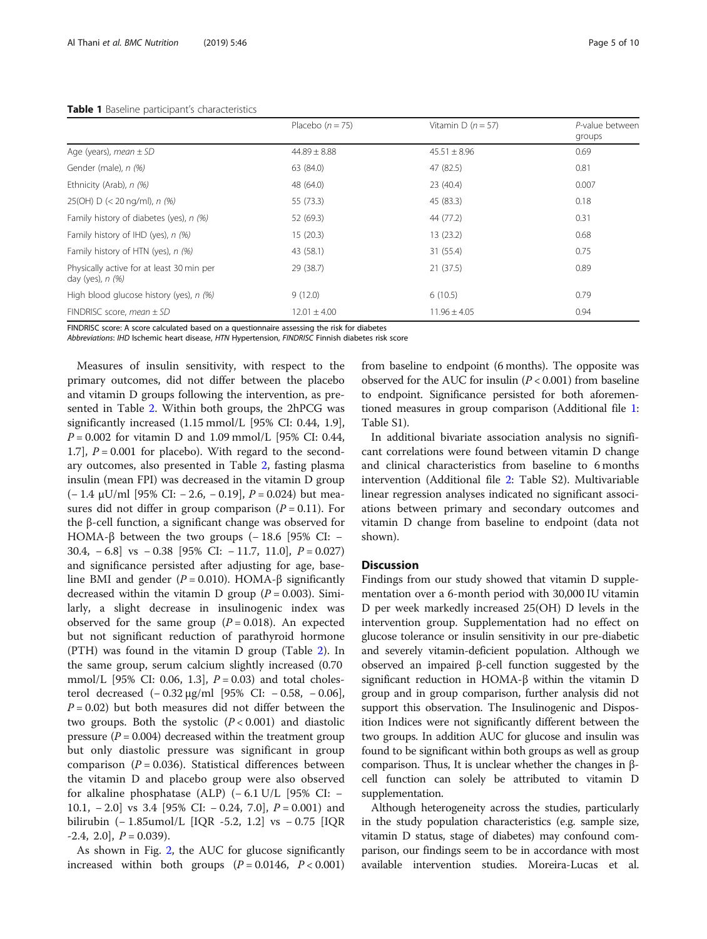## <span id="page-4-0"></span>Table 1 Baseline participant's characteristics

|                                                                 | Placebo $(n = 75)$ | Vitamin D $(n = 57)$ | P-value between<br>groups |
|-----------------------------------------------------------------|--------------------|----------------------|---------------------------|
| Age (years), mean $\pm$ SD                                      | $44.89 \pm 8.88$   | $45.51 \pm 8.96$     | 0.69                      |
| Gender (male), n (%)                                            | 63 (84.0)          | 47 (82.5)            | 0.81                      |
| Ethnicity (Arab), n (%)                                         | 48 (64.0)          | 23 (40.4)            | 0.007                     |
| 25(OH) $D$ (< 20 ng/ml), n (%)                                  | 55 (73.3)          | 45 (83.3)            | 0.18                      |
| Family history of diabetes (yes), n (%)                         | 52 (69.3)          | 44 (77.2)            | 0.31                      |
| Family history of IHD (yes), n (%)                              | 15(20.3)           | 13(23.2)             | 0.68                      |
| Family history of HTN (yes), n (%)                              | 43 (58.1)          | 31 (55.4)            | 0.75                      |
| Physically active for at least 30 min per<br>day (yes), $n$ (%) | 29 (38.7)          | 21(37.5)             | 0.89                      |
| High blood glucose history (yes), n (%)                         | 9(12.0)            | 6(10.5)              | 0.79                      |
| FINDRISC score, mean $\pm$ SD                                   | $12.01 \pm 4.00$   | $11.96 \pm 4.05$     | 0.94                      |

FINDRISC score: A score calculated based on a questionnaire assessing the risk for diabetes

Abbreviations: IHD Ischemic heart disease, HTN Hypertension, FINDRISC Finnish diabetes risk score

Measures of insulin sensitivity, with respect to the primary outcomes, did not differ between the placebo and vitamin D groups following the intervention, as presented in Table [2](#page-5-0). Within both groups, the 2hPCG was significantly increased (1.15 mmol/L [95% CI: 0.44, 1.9],  $P = 0.002$  for vitamin D and 1.09 mmol/L [95% CI: 0.44, 1.7],  $P = 0.001$  for placebo). With regard to the secondary outcomes, also presented in Table [2](#page-5-0), fasting plasma insulin (mean FPI) was decreased in the vitamin D group (− 1.4 μU/ml [95% CI: − 2.6, − 0.19], P = 0.024) but measures did not differ in group comparison  $(P = 0.11)$ . For the β-cell function, a significant change was observed for HOMA-β between the two groups  $(-18.6)$  [95% CI: – 30.4,  $-6.8$ ] vs  $-0.38$  [95% CI:  $-11.7$ , 11.0],  $P = 0.027$ ] and significance persisted after adjusting for age, baseline BMI and gender ( $P = 0.010$ ). HOMA-β significantly decreased within the vitamin D group ( $P = 0.003$ ). Similarly, a slight decrease in insulinogenic index was observed for the same group  $(P = 0.018)$ . An expected but not significant reduction of parathyroid hormone (PTH) was found in the vitamin D group (Table [2](#page-5-0)). In the same group, serum calcium slightly increased (0.70 mmol/L [95% CI: 0.06, 1.3],  $P = 0.03$ ) and total cholesterol decreased (− 0.32 μg/ml [95% CI: − 0.58, − 0.06],  $P = 0.02$ ) but both measures did not differ between the two groups. Both the systolic  $(P < 0.001)$  and diastolic pressure ( $P = 0.004$ ) decreased within the treatment group but only diastolic pressure was significant in group comparison ( $P = 0.036$ ). Statistical differences between the vitamin D and placebo group were also observed for alkaline phosphatase (ALP)  $(-6.1 \text{ U/L}$  [95% CI: – 10.1, − 2.0] vs 3.4 [95% CI: − 0.24, 7.0], P = 0.001) and bilirubin (− 1.85umol/L [IQR -5.2, 1.2] vs − 0.75 [IQR  $-2.4$ ,  $2.0$ ,  $P = 0.039$ ).

As shown in Fig. [2,](#page-6-0) the AUC for glucose significantly increased within both groups  $(P = 0.0146, P < 0.001)$  from baseline to endpoint (6 months). The opposite was observed for the AUC for insulin  $(P < 0.001)$  from baseline to endpoint. Significance persisted for both aforementioned measures in group comparison (Additional file [1](#page-7-0): Table S1).

In additional bivariate association analysis no significant correlations were found between vitamin D change and clinical characteristics from baseline to 6 months intervention (Additional file [2:](#page-7-0) Table S2). Multivariable linear regression analyses indicated no significant associations between primary and secondary outcomes and vitamin D change from baseline to endpoint (data not shown).

# **Discussion**

Findings from our study showed that vitamin D supplementation over a 6-month period with 30,000 IU vitamin D per week markedly increased 25(OH) D levels in the intervention group. Supplementation had no effect on glucose tolerance or insulin sensitivity in our pre-diabetic and severely vitamin-deficient population. Although we observed an impaired β-cell function suggested by the significant reduction in HOMA-β within the vitamin D group and in group comparison, further analysis did not support this observation. The Insulinogenic and Disposition Indices were not significantly different between the two groups. In addition AUC for glucose and insulin was found to be significant within both groups as well as group comparison. Thus, It is unclear whether the changes in βcell function can solely be attributed to vitamin D supplementation.

Although heterogeneity across the studies, particularly in the study population characteristics (e.g. sample size, vitamin D status, stage of diabetes) may confound comparison, our findings seem to be in accordance with most available intervention studies. Moreira-Lucas et al.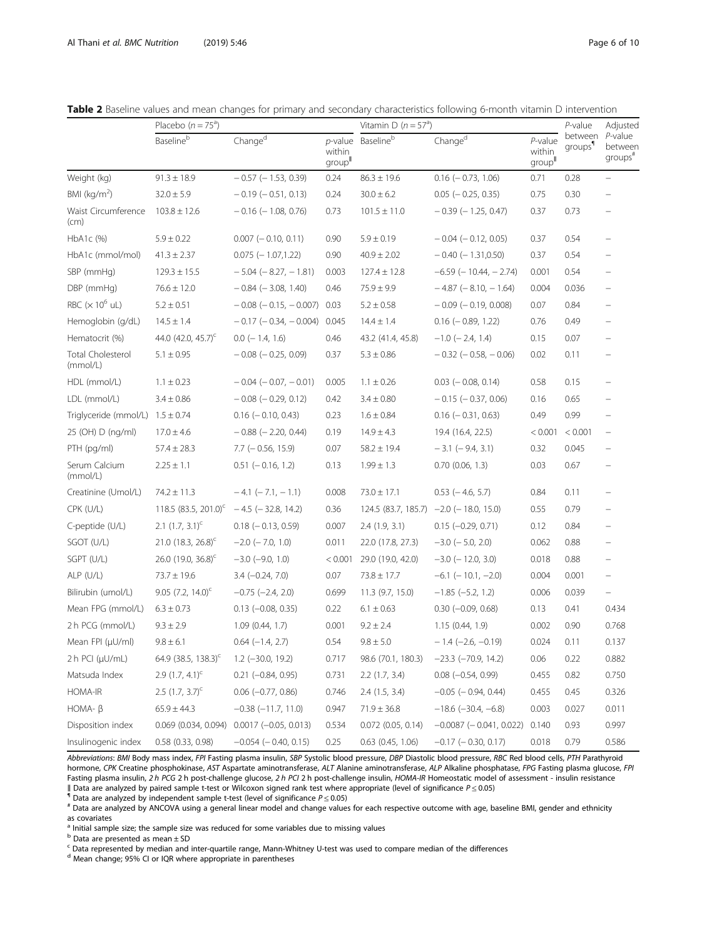<span id="page-5-0"></span>

|  |  |  |  |  | Table 2 Baseline values and mean changes for primary and secondary characteristics following 6-month vitamin D intervention |  |  |
|--|--|--|--|--|-----------------------------------------------------------------------------------------------------------------------------|--|--|
|  |  |  |  |  |                                                                                                                             |  |  |

|                                      | Placebo $(n = 75^a)$                       |                                |                 | Vitamin D ( $n = 57a$ ) | P-value                                    | Adjusted                      |                                |                                           |
|--------------------------------------|--------------------------------------------|--------------------------------|-----------------|-------------------------|--------------------------------------------|-------------------------------|--------------------------------|-------------------------------------------|
|                                      | Baselineb                                  | Changed                        | within<br>group | $p$ -value Baseline $b$ | Change <sup>d</sup>                        | $P$ -value<br>within<br>group | between<br>groups <sup>1</sup> | P-value<br>between<br>groups <sup>#</sup> |
| Weight (kg)                          | $91.3 \pm 18.9$                            | $-0.57$ ( $-1.53$ , 0.39)      | 0.24            | $86.3 \pm 19.6$         | $0.16$ ( $-0.73$ , 1.06)                   | 0.71                          | 0.28                           |                                           |
| BMI ( $kg/m2$ )                      | $32.0 \pm 5.9$                             | $-0.19$ ( $-0.51$ , 0.13)      | 0.24            | $30.0 \pm 6.2$          | $0.05$ ( $-0.25$ , 0.35)                   | 0.75                          | 0.30                           | $\overline{\phantom{0}}$                  |
| Waist Circumference<br>(cm)          | $103.8 \pm 12.6$                           | $-0.16$ ( $-1.08$ , 0.76)      | 0.73            | $101.5 \pm 11.0$        | $-0.39$ ( $-1.25$ , 0.47)                  | 0.37                          | 0.73                           |                                           |
| $HbA1c$ $%$                          | $5.9 \pm 0.22$                             | $0.007$ (- 0.10, 0.11)         | 0.90            | $5.9 \pm 0.19$          | $-0.04$ ( $-0.12$ , 0.05)                  | 0.37                          | 0.54                           |                                           |
| HbA1c (mmol/mol)                     | $41.3 \pm 2.37$                            | $0.075$ (-1.07,1.22)           | 0.90            | $40.9 \pm 2.02$         | $-0.40$ ( $-1.31,0.50$ )                   | 0.37                          | 0.54                           |                                           |
| SBP (mmHg)                           | $129.3 \pm 15.5$                           | $-5.04$ ( $-8.27$ , $-1.81$ )  | 0.003           | $127.4 \pm 12.8$        | $-6.59$ ( $-10.44$ , $-2.74$ )             | 0.001                         | 0.54                           | $\qquad \qquad -$                         |
| DBP (mmHg)                           | $76.6 \pm 12.0$                            | $-0.84$ ( $-3.08$ , 1.40)      | 0.46            | $75.9 \pm 9.9$          | $-4.87$ ( $-8.10$ , $-1.64$ )              | 0.004                         | 0.036                          | $\qquad \qquad -$                         |
| RBC $(x 10^6$ uL)                    | $5.2 \pm 0.51$                             | $-0.08$ ( $-0.15$ , $-0.007$ ) | 0.03            | $5.2 \pm 0.58$          | $-0.09$ ( $-0.19$ , 0.008)                 | 0.07                          | 0.84                           |                                           |
| Hemoglobin (g/dL)                    | $14.5 \pm 1.4$                             | $-0.17$ ( $-0.34$ , $-0.004$ ) | 0.045           | $14.4 \pm 1.4$          | $0.16$ ( $-0.89$ , 1.22)                   | 0.76                          | 0.49                           | $\overline{\phantom{m}}$                  |
| Hematocrit (%)                       | 44.0 $(42.0, 45.7)^{c}$                    | $0.0$ (-1.4, 1.6)              | 0.46            | 43.2 (41.4, 45.8)       | $-1.0$ ( $-2.4$ , 1.4)                     | 0.15                          | 0.07                           |                                           |
| <b>Total Cholesterol</b><br>(mmol/L) | $5.1 \pm 0.95$                             | $-0.08$ ( $-0.25$ , 0.09)      | 0.37            | $5.3 \pm 0.86$          | $-0.32$ ( $-0.58$ , $-0.06$ )              | 0.02                          | 0.11                           |                                           |
| HDL (mmol/L)                         | $1.1 \pm 0.23$                             | $-0.04$ ( $-0.07$ , $-0.01$ )  | 0.005           | $1.1 \pm 0.26$          | $0.03$ ( $-0.08$ , 0.14)                   | 0.58                          | 0.15                           |                                           |
| LDL (mmol/L)                         | $3.4 \pm 0.86$                             | $-0.08$ ( $-0.29$ , 0.12)      | 0.42            | $3.4 \pm 0.80$          | $-0.15$ ( $-0.37, 0.06$ )                  | 0.16                          | 0.65                           |                                           |
| Triglyceride (mmol/L) $1.5 \pm 0.74$ |                                            | $0.16$ ( $-0.10$ , 0.43)       | 0.23            | $1.6 \pm 0.84$          | $0.16$ ( $-0.31$ , $0.63$ )                | 0.49                          | 0.99                           | $\overline{\phantom{0}}$                  |
| 25 (OH) D (ng/ml)                    | $17.0 \pm 4.6$                             | $-0.88$ ( $-2.20$ , 0.44)      | 0.19            | $14.9 \pm 4.3$          | 19.4 (16.4, 22.5)                          | < 0.001                       | < 0.001                        | $\overline{\phantom{0}}$                  |
| PTH (pg/ml)                          | $57.4 \pm 28.3$                            | $7.7$ ( $-0.56$ , 15.9)        | 0.07            | $58.2 \pm 19.4$         | $-3.1$ ( $-9.4$ , 3.1)                     | 0.32                          | 0.045                          | $\overline{\phantom{0}}$                  |
| Serum Calcium<br>(mmol/L)            | $2.25 \pm 1.1$                             | $0.51$ ( $-0.16$ , 1.2)        | 0.13            | $1.99 \pm 1.3$          | $0.70$ $(0.06, 1.3)$                       | 0.03                          | 0.67                           | $\overline{\phantom{0}}$                  |
| Creatinine (Umol/L)                  | $74.2 \pm 11.3$                            | $-4.1$ ( $-7.1$ , $-1.1$ )     | 0.008           | $73.0 \pm 17.1$         | $0.53$ ( $-4.6$ , 5.7)                     | 0.84                          | 0.11                           | $\overline{\phantom{0}}$                  |
| CPK (U/L)                            | $118.5$ (83.5, 201.0) $-4.5$ (-32.8, 14.2) |                                | 0.36            |                         | $124.5$ (83.7, 185.7) $-2.0$ (-18.0, 15.0) | 0.55                          | 0.79                           |                                           |
| C-peptide (U/L)                      | 2.1 $(1.7, 3.1)^c$                         | $0.18$ ( $-0.13$ , 0.59)       | 0.007           | 2.4(1.9, 3.1)           | $0.15 (-0.29, 0.71)$                       | 0.12                          | 0.84                           |                                           |
| SGOT (U/L)                           | 21.0 $(18.3, 26.8)^c$                      | $-2.0$ ( $-7.0$ , 1.0)         | 0.011           | 22.0 (17.8, 27.3)       | $-3.0$ ( $-5.0$ , 2.0)                     | 0.062                         | 0.88                           | $\qquad \qquad -$                         |
| SGPT (U/L)                           | $26.0$ (19.0, 36.8) <sup>c</sup>           | $-3.0$ ( $-9.0$ , 1.0)         | < 0.001         | 29.0 (19.0, 42.0)       | $-3.0$ ( $-12.0$ , 3.0)                    | 0.018                         | 0.88                           |                                           |
| $ALP$ (U/L)                          | $73.7 \pm 19.6$                            | $3.4 (-0.24, 7.0)$             | 0.07            | $73.8 \pm 17.7$         | $-6.1$ ( $-10.1$ , $-2.0$ )                | 0.004                         | 0.001                          | $\qquad \qquad -$                         |
| Bilirubin (umol/L)                   | 9.05 $(7.2, 14.0)^c$                       | $-0.75$ $(-2.4, 2.0)$          | 0.699           | 11.3 (9.7, 15.0)        | $-1.85$ $(-5.2, 1.2)$                      | 0.006                         | 0.039                          | $\equiv$                                  |
| Mean FPG (mmol/L)                    | $6.3 \pm 0.73$                             | $0.13$ (-0.08, 0.35)           | 0.22            | $6.1 \pm 0.63$          | $0.30$ ( $-0.09$ , $0.68$ )                | 0.13                          | 0.41                           | 0.434                                     |
| 2 h PCG (mmol/L)                     | $9.3 \pm 2.9$                              | 1.09(0.44, 1.7)                | 0.001           | $9.2 \pm 2.4$           | 1.15(0.44, 1.9)                            | 0.002                         | 0.90                           | 0.768                                     |
| Mean FPI (µU/ml)                     | $9.8 \pm 6.1$                              | $0.64 (-1.4, 2.7)$             | 0.54            | $9.8 \pm 5.0$           | $-1.4$ (-2.6, -0.19)                       | 0.024                         | 0.11                           | 0.137                                     |
| 2 h PCI (µU/mL)                      | 64.9 (38.5, 138.3) <sup>c</sup>            | $1.2$ (-30.0, 19.2)            | 0.717           | 98.6 (70.1, 180.3)      | $-23.3$ $(-70.9, 14.2)$                    | 0.06                          | 0.22                           | 0.882                                     |
| Matsuda Index                        | 2.9 $(1.7, 4.1)^c$                         | $0.21 (-0.84, 0.95)$           | 0.731           | $2.2$ (1.7, 3.4)        | $0.08 (-0.54, 0.99)$                       | 0.455                         | 0.82                           | 0.750                                     |
| HOMA-IR                              | 2.5 $(1.7, 3.7)^c$                         | $0.06$ ( $-0.77$ , 0.86)       | 0.746           | $2.4$ (1.5, 3.4)        | $-0.05$ ( $-0.94$ , 0.44)                  | 0.455                         | 0.45                           | 0.326                                     |
| $HOMA- \beta$                        | $65.9 \pm 44.3$                            | $-0.38$ $(-11.7, 11.0)$        | 0.947           | $71.9 \pm 36.8$         | $-18.6$ ( $-30.4$ , $-6.8$ )               | 0.003                         | 0.027                          | 0.011                                     |
| Disposition index                    | $0.069$ (0.034, 0.094)                     | $0.0017 (-0.05, 0.013)$        | 0.534           | $0.072$ (0.05, 0.14)    | $-0.0087$ ( $-0.041$ , 0.022)              | 0.140                         | 0.93                           | 0.997                                     |
| Insulinogenic index                  | 0.58 (0.33, 0.98)                          | $-0.054$ ( $-0.40$ , 0.15)     | 0.25            | $0.63$ $(0.45, 1.06)$   | $-0.17$ ( $-0.30$ , 0.17)                  | 0.018                         | 0.79                           | 0.586                                     |

Abbreviations: BMI Body mass index, FPI Fasting plasma insulin, SBP Systolic blood pressure, DBP Diastolic blood pressure, RBC Red blood cells, PTH Parathyroid hormone, CPK Creatine phosphokinase, AST Aspartate aminotransferase, ALT Alanine aminotransferase, ALP Alkaline phosphatase, FPG Fasting plasma glucose, FPI Fasting plasma insulin, 2 h PCG 2 h post-challenge glucose, 2 h PCI 2 h post-challenge insulin, HOMA-IR Homeostatic model of assessment - insulin resistance<br>|| Data are analyzed by paired sample t-test or Wilcoxon signed

 $\textsuperscript{n}$  Data are analyzed by independent sample t-test (level of significance  $P \le 0.05$ )<br>
# Data are analyzed by ANCOVA using a general linear model and change values for each respective outcome with age, baseline BMI, as covariates

<sup>a</sup> Initial sample size; the sample size was reduced for some variables due to missing values

<sup>b</sup> Data are presented as mean ± SD

 $c$  Data represented by median and inter-quartile range, Mann-Whitney U-test was used to compare median of the differences

<sup>d</sup> Mean change; 95% CI or IQR where appropriate in parentheses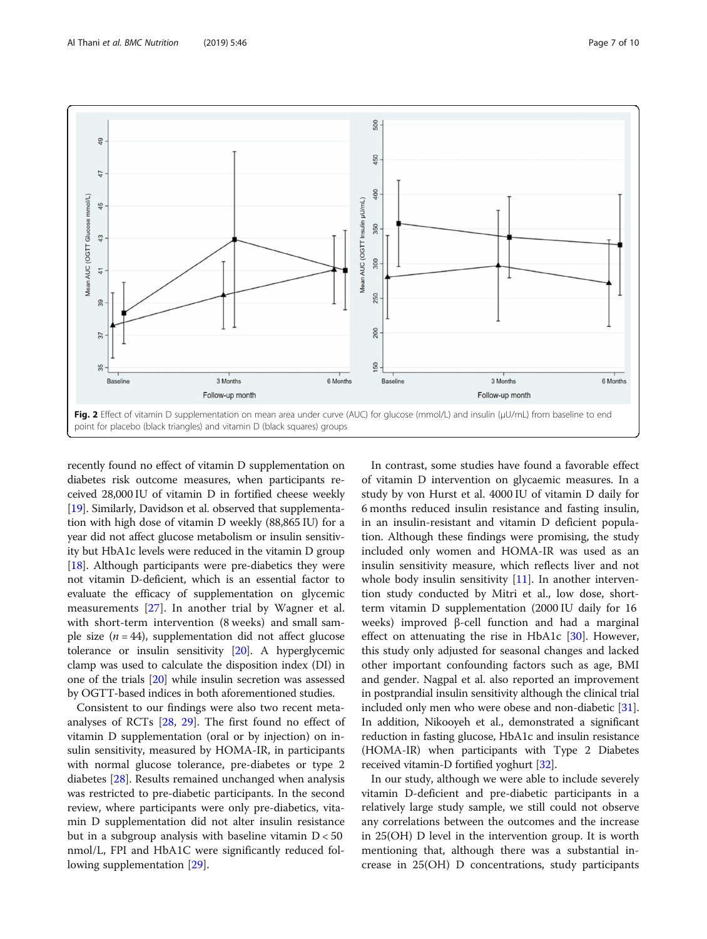<span id="page-6-0"></span>

recently found no effect of vitamin D supplementation on diabetes risk outcome measures, when participants received 28,000 IU of vitamin D in fortified cheese weekly [[19](#page-8-0)]. Similarly, Davidson et al. observed that supplementation with high dose of vitamin D weekly (88,865 IU) for a year did not affect glucose metabolism or insulin sensitivity but HbA1c levels were reduced in the vitamin D group [ $18$ ]. Although participants were pre-diabetics they were not vitamin D-deficient, which is an essential factor to evaluate the efficacy of supplementation on glycemic measurements [[27\]](#page-8-0). In another trial by Wagner et al. with short-term intervention (8 weeks) and small sample size  $(n = 44)$ , supplementation did not affect glucose tolerance or insulin sensitivity [\[20\]](#page-8-0). A hyperglycemic clamp was used to calculate the disposition index (DI) in one of the trials [\[20](#page-8-0)] while insulin secretion was assessed by OGTT-based indices in both aforementioned studies.

Consistent to our findings were also two recent metaanalyses of RCTs [[28,](#page-8-0) [29\]](#page-8-0). The first found no effect of vitamin D supplementation (oral or by injection) on insulin sensitivity, measured by HOMA-IR, in participants with normal glucose tolerance, pre-diabetes or type 2 diabetes [[28\]](#page-8-0). Results remained unchanged when analysis was restricted to pre-diabetic participants. In the second review, where participants were only pre-diabetics, vitamin D supplementation did not alter insulin resistance but in a subgroup analysis with baseline vitamin  $D < 50$ nmol/L, FPI and HbA1C were significantly reduced following supplementation [\[29](#page-8-0)].

In contrast, some studies have found a favorable effect of vitamin D intervention on glycaemic measures. In a study by von Hurst et al. 4000 IU of vitamin D daily for 6 months reduced insulin resistance and fasting insulin, in an insulin-resistant and vitamin D deficient population. Although these findings were promising, the study included only women and HOMA-IR was used as an insulin sensitivity measure, which reflects liver and not whole body insulin sensitivity  $[11]$  $[11]$ . In another intervention study conducted by Mitri et al., low dose, shortterm vitamin D supplementation (2000 IU daily for 16 weeks) improved β-cell function and had a marginal effect on attenuating the rise in HbA1c [[30](#page-8-0)]. However, this study only adjusted for seasonal changes and lacked other important confounding factors such as age, BMI and gender. Nagpal et al. also reported an improvement in postprandial insulin sensitivity although the clinical trial included only men who were obese and non-diabetic [[31](#page-8-0)]. In addition, Nikooyeh et al., demonstrated a significant reduction in fasting glucose, HbA1c and insulin resistance (HOMA-IR) when participants with Type 2 Diabetes received vitamin-D fortified yoghurt [[32](#page-8-0)].

In our study, although we were able to include severely vitamin D-deficient and pre-diabetic participants in a relatively large study sample, we still could not observe any correlations between the outcomes and the increase in 25(OH) D level in the intervention group. It is worth mentioning that, although there was a substantial increase in 25(OH) D concentrations, study participants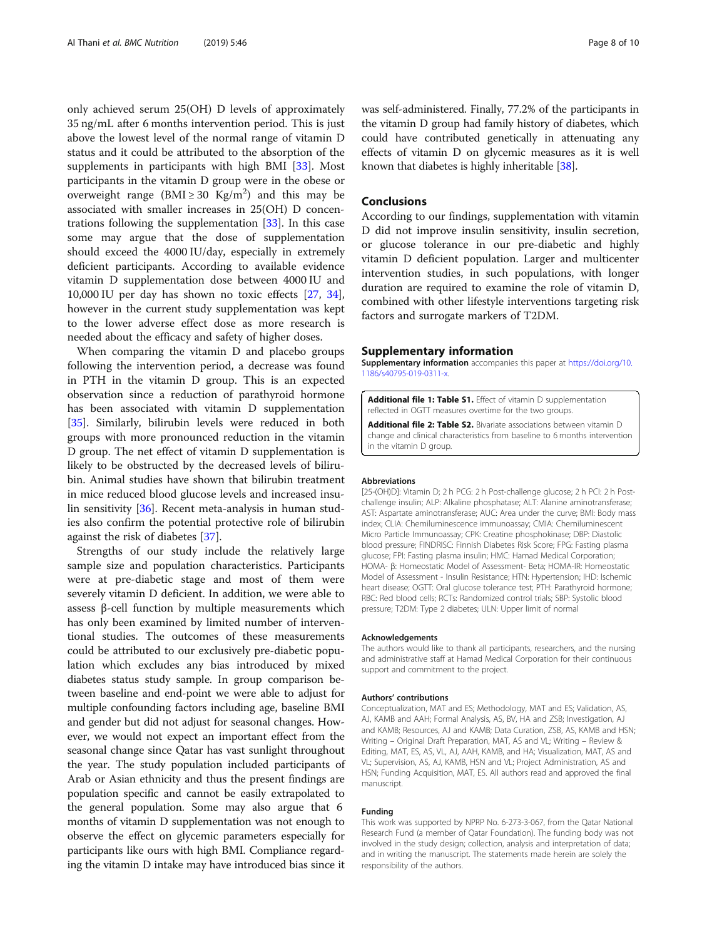<span id="page-7-0"></span>only achieved serum 25(OH) D levels of approximately 35 ng/mL after 6 months intervention period. This is just above the lowest level of the normal range of vitamin D status and it could be attributed to the absorption of the supplements in participants with high BMI [[33](#page-8-0)]. Most participants in the vitamin D group were in the obese or overweight range (BMI  $\geq$  30 Kg/m<sup>2</sup>) and this may be associated with smaller increases in 25(OH) D concentrations following the supplementation [\[33](#page-8-0)]. In this case some may argue that the dose of supplementation should exceed the 4000 IU/day, especially in extremely deficient participants. According to available evidence vitamin D supplementation dose between 4000 IU and 10,000 IU per day has shown no toxic effects [[27,](#page-8-0) [34](#page-8-0)], however in the current study supplementation was kept to the lower adverse effect dose as more research is needed about the efficacy and safety of higher doses.

When comparing the vitamin D and placebo groups following the intervention period, a decrease was found in PTH in the vitamin D group. This is an expected observation since a reduction of parathyroid hormone has been associated with vitamin D supplementation [[35\]](#page-8-0). Similarly, bilirubin levels were reduced in both groups with more pronounced reduction in the vitamin D group. The net effect of vitamin D supplementation is likely to be obstructed by the decreased levels of bilirubin. Animal studies have shown that bilirubin treatment in mice reduced blood glucose levels and increased insulin sensitivity [[36](#page-9-0)]. Recent meta-analysis in human studies also confirm the potential protective role of bilirubin against the risk of diabetes [[37\]](#page-9-0).

Strengths of our study include the relatively large sample size and population characteristics. Participants were at pre-diabetic stage and most of them were severely vitamin D deficient. In addition, we were able to assess β-cell function by multiple measurements which has only been examined by limited number of interventional studies. The outcomes of these measurements could be attributed to our exclusively pre-diabetic population which excludes any bias introduced by mixed diabetes status study sample. In group comparison between baseline and end-point we were able to adjust for multiple confounding factors including age, baseline BMI and gender but did not adjust for seasonal changes. However, we would not expect an important effect from the seasonal change since Qatar has vast sunlight throughout the year. The study population included participants of Arab or Asian ethnicity and thus the present findings are population specific and cannot be easily extrapolated to the general population. Some may also argue that 6 months of vitamin D supplementation was not enough to observe the effect on glycemic parameters especially for participants like ours with high BMI. Compliance regarding the vitamin D intake may have introduced bias since it

was self-administered. Finally, 77.2% of the participants in the vitamin D group had family history of diabetes, which could have contributed genetically in attenuating any effects of vitamin D on glycemic measures as it is well known that diabetes is highly inheritable [\[38\]](#page-9-0).

# Conclusions

According to our findings, supplementation with vitamin D did not improve insulin sensitivity, insulin secretion, or glucose tolerance in our pre-diabetic and highly vitamin D deficient population. Larger and multicenter intervention studies, in such populations, with longer duration are required to examine the role of vitamin D, combined with other lifestyle interventions targeting risk factors and surrogate markers of T2DM.

## Supplementary information

Supplementary information accompanies this paper at [https://doi.org/10.](https://doi.org/10.1186/s40795-019-0311-x) [1186/s40795-019-0311-x](https://doi.org/10.1186/s40795-019-0311-x).

Additional file 1: Table S1. Effect of vitamin D supplementation reflected in OGTT measures overtime for the two groups.

Additional file 2: Table S2. Bivariate associations between vitamin D change and clinical characteristics from baseline to 6 months intervention in the vitamin D group.

#### Abbreviations

[25-(OH)D]: Vitamin D; 2 h PCG: 2 h Post-challenge glucose; 2 h PCI: 2 h Postchallenge insulin; ALP: Alkaline phosphatase; ALT: Alanine aminotransferase; AST: Aspartate aminotransferase; AUC: Area under the curve; BMI: Body mass index; CLIA: Chemiluminescence immunoassay; CMIA: Chemiluminescent Micro Particle Immunoassay; CPK: Creatine phosphokinase; DBP: Diastolic blood pressure; FINDRISC: Finnish Diabetes Risk Score; FPG: Fasting plasma glucose; FPI: Fasting plasma insulin; HMC: Hamad Medical Corporation; HOMA- β: Homeostatic Model of Assessment- Beta; HOMA-IR: Homeostatic Model of Assessment - Insulin Resistance; HTN: Hypertension; IHD: Ischemic heart disease; OGTT: Oral glucose tolerance test; PTH: Parathyroid hormone; RBC: Red blood cells; RCTs: Randomized control trials; SBP: Systolic blood pressure; T2DM: Type 2 diabetes; ULN: Upper limit of normal

#### Acknowledgements

The authors would like to thank all participants, researchers, and the nursing and administrative staff at Hamad Medical Corporation for their continuous support and commitment to the project.

## Authors' contributions

Conceptualization, MAT and ES; Methodology, MAT and ES; Validation, AS, AJ, KAMB and AAH; Formal Analysis, AS, BV, HA and ZSB; Investigation, AJ and KAMB; Resources, AJ and KAMB; Data Curation, ZSB, AS, KAMB and HSN; Writing – Original Draft Preparation, MAT, AS and VL; Writing – Review & Editing, MAT, ES, AS, VL, AJ, AAH, KAMB, and HA; Visualization, MAT, AS and VL; Supervision, AS, AJ, KAMB, HSN and VL; Project Administration, AS and HSN; Funding Acquisition, MAT, ES. All authors read and approved the final manuscript.

## Funding

This work was supported by NPRP No. 6-273-3-067, from the Qatar National Research Fund (a member of Qatar Foundation). The funding body was not involved in the study design; collection, analysis and interpretation of data; and in writing the manuscript. The statements made herein are solely the responsibility of the authors.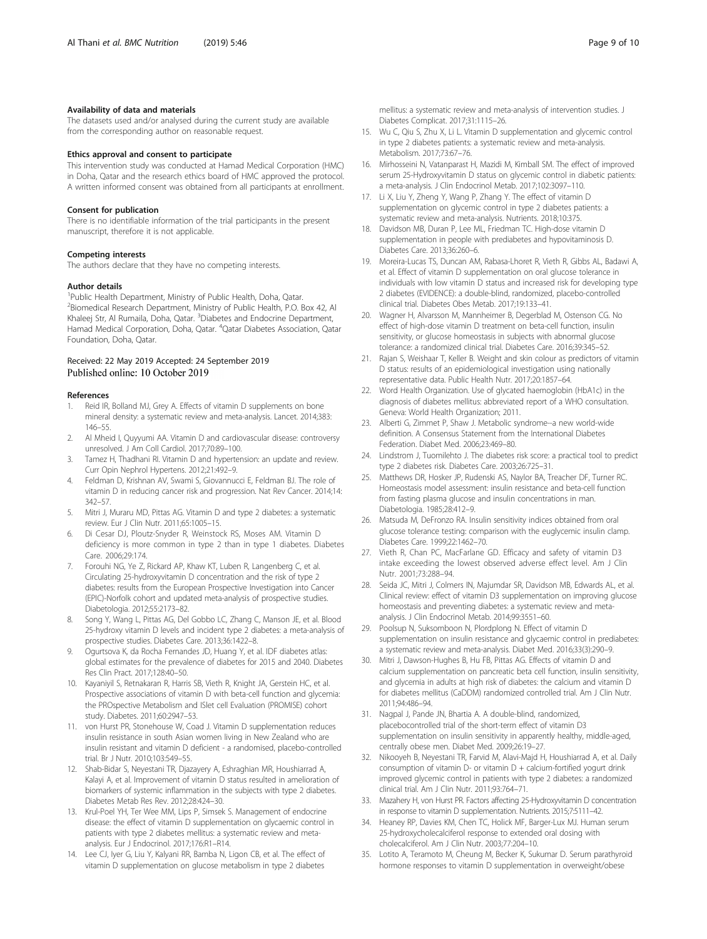# <span id="page-8-0"></span>Availability of data and materials

The datasets used and/or analysed during the current study are available from the corresponding author on reasonable request.

## Ethics approval and consent to participate

This intervention study was conducted at Hamad Medical Corporation (HMC) in Doha, Qatar and the research ethics board of HMC approved the protocol. A written informed consent was obtained from all participants at enrollment.

## Consent for publication

There is no identifiable information of the trial participants in the present manuscript, therefore it is not applicable.

## Competing interests

The authors declare that they have no competing interests.

## Author details

<sup>1</sup>Public Health Department, Ministry of Public Health, Doha, Qatar. <sup>2</sup> Biomedical Research Department, Ministry of Public Health, P.O. Box 42, Al Khaleej Str, Al Rumaila, Doha, Qatar. <sup>3</sup>Diabetes and Endocrine Department, Hamad Medical Corporation, Doha, Qatar. <sup>4</sup>Qatar Diabetes Association, Qatar Foundation, Doha, Qatar.

# Received: 22 May 2019 Accepted: 24 September 2019 Published online: 10 October 2019

## References

- 1. Reid IR, Bolland MJ, Grey A. Effects of vitamin D supplements on bone mineral density: a systematic review and meta-analysis. Lancet. 2014;383: 146–55.
- 2. Al Mheid I, Quyyumi AA. Vitamin D and cardiovascular disease: controversy unresolved. J Am Coll Cardiol. 2017;70:89–100.
- 3. Tamez H, Thadhani RI. Vitamin D and hypertension: an update and review. Curr Opin Nephrol Hypertens. 2012;21:492–9.
- 4. Feldman D, Krishnan AV, Swami S, Giovannucci E, Feldman BJ. The role of vitamin D in reducing cancer risk and progression. Nat Rev Cancer. 2014;14: 342–57.
- 5. Mitri J, Muraru MD, Pittas AG. Vitamin D and type 2 diabetes: a systematic review. Eur J Clin Nutr. 2011;65:1005–15.
- 6. Di Cesar DJ, Ploutz-Snyder R, Weinstock RS, Moses AM. Vitamin D deficiency is more common in type 2 than in type 1 diabetes. Diabetes Care. 2006;29:174.
- 7. Forouhi NG, Ye Z, Rickard AP, Khaw KT, Luben R, Langenberg C, et al. Circulating 25-hydroxyvitamin D concentration and the risk of type 2 diabetes: results from the European Prospective Investigation into Cancer (EPIC)-Norfolk cohort and updated meta-analysis of prospective studies. Diabetologia. 2012;55:2173–82.
- 8. Song Y, Wang L, Pittas AG, Del Gobbo LC, Zhang C, Manson JE, et al. Blood 25-hydroxy vitamin D levels and incident type 2 diabetes: a meta-analysis of prospective studies. Diabetes Care. 2013;36:1422–8.
- 9. Ogurtsova K, da Rocha Fernandes JD, Huang Y, et al. IDF diabetes atlas: global estimates for the prevalence of diabetes for 2015 and 2040. Diabetes Res Clin Pract. 2017;128:40–50.
- 10. Kayaniyil S, Retnakaran R, Harris SB, Vieth R, Knight JA, Gerstein HC, et al. Prospective associations of vitamin D with beta-cell function and glycemia: the PROspective Metabolism and ISlet cell Evaluation (PROMISE) cohort study. Diabetes. 2011;60:2947–53.
- 11. von Hurst PR, Stonehouse W, Coad J. Vitamin D supplementation reduces insulin resistance in south Asian women living in New Zealand who are insulin resistant and vitamin D deficient - a randomised, placebo-controlled trial. Br J Nutr. 2010;103:549–55.
- 12. Shab-Bidar S, Neyestani TR, Djazayery A, Eshraghian MR, Houshiarrad A, Kalayi A, et al. Improvement of vitamin D status resulted in amelioration of biomarkers of systemic inflammation in the subjects with type 2 diabetes. Diabetes Metab Res Rev. 2012;28:424–30.
- 13. Krul-Poel YH, Ter Wee MM, Lips P, Simsek S. Management of endocrine disease: the effect of vitamin D supplementation on glycaemic control in patients with type 2 diabetes mellitus: a systematic review and metaanalysis. Eur J Endocrinol. 2017;176:R1–R14.
- 14. Lee CJ, Iyer G, Liu Y, Kalyani RR, Bamba N, Ligon CB, et al. The effect of vitamin D supplementation on glucose metabolism in type 2 diabetes

mellitus: a systematic review and meta-analysis of intervention studies. J Diabetes Complicat. 2017;31:1115–26.

- 15. Wu C, Qiu S, Zhu X, Li L. Vitamin D supplementation and glycemic control in type 2 diabetes patients: a systematic review and meta-analysis. Metabolism. 2017;73:67–76.
- 16. Mirhosseini N, Vatanparast H, Mazidi M, Kimball SM. The effect of improved serum 25-Hydroxyvitamin D status on glycemic control in diabetic patients: a meta-analysis. J Clin Endocrinol Metab. 2017;102:3097–110.
- 17. Li X, Liu Y, Zheng Y, Wang P, Zhang Y. The effect of vitamin D supplementation on glycemic control in type 2 diabetes patients: a systematic review and meta-analysis. Nutrients. 2018;10:375.
- 18. Davidson MB, Duran P, Lee ML, Friedman TC. High-dose vitamin D supplementation in people with prediabetes and hypovitaminosis D. Diabetes Care. 2013;36:260–6.
- 19. Moreira-Lucas TS, Duncan AM, Rabasa-Lhoret R, Vieth R, Gibbs AL, Badawi A, et al. Effect of vitamin D supplementation on oral glucose tolerance in individuals with low vitamin D status and increased risk for developing type 2 diabetes (EVIDENCE): a double-blind, randomized, placebo-controlled clinical trial. Diabetes Obes Metab. 2017;19:133–41.
- 20. Wagner H, Alvarsson M, Mannheimer B, Degerblad M, Ostenson CG. No effect of high-dose vitamin D treatment on beta-cell function, insulin sensitivity, or glucose homeostasis in subjects with abnormal glucose tolerance: a randomized clinical trial. Diabetes Care. 2016;39:345–52.
- 21. Rajan S, Weishaar T, Keller B. Weight and skin colour as predictors of vitamin D status: results of an epidemiological investigation using nationally representative data. Public Health Nutr. 2017;20:1857–64.
- 22. Word Health Organization. Use of glycated haemoglobin (HbA1c) in the diagnosis of diabetes mellitus: abbreviated report of a WHO consultation. Geneva: World Health Organization; 2011.
- 23. Alberti G, Zimmet P, Shaw J. Metabolic syndrome--a new world-wide definition. A Consensus Statement from the International Diabetes Federation. Diabet Med. 2006;23:469–80.
- Lindstrom J, Tuomilehto J. The diabetes risk score: a practical tool to predict type 2 diabetes risk. Diabetes Care. 2003;26:725–31.
- 25. Matthews DR, Hosker JP, Rudenski AS, Naylor BA, Treacher DF, Turner RC. Homeostasis model assessment: insulin resistance and beta-cell function from fasting plasma glucose and insulin concentrations in man. Diabetologia. 1985;28:412–9.
- 26. Matsuda M, DeFronzo RA. Insulin sensitivity indices obtained from oral glucose tolerance testing: comparison with the euglycemic insulin clamp. Diabetes Care. 1999;22:1462–70.
- 27. Vieth R, Chan PC, MacFarlane GD. Efficacy and safety of vitamin D3 intake exceeding the lowest observed adverse effect level. Am J Clin Nutr. 2001;73:288–94.
- 28. Seida JC, Mitri J, Colmers IN, Majumdar SR, Davidson MB, Edwards AL, et al. Clinical review: effect of vitamin D3 supplementation on improving glucose homeostasis and preventing diabetes: a systematic review and metaanalysis. J Clin Endocrinol Metab. 2014;99:3551–60.
- 29. Poolsup N, Suksomboon N, Plordplong N. Effect of vitamin D supplementation on insulin resistance and glycaemic control in prediabetes: a systematic review and meta-analysis. Diabet Med. 2016;33(3):290–9.
- 30. Mitri J, Dawson-Hughes B, Hu FB, Pittas AG. Effects of vitamin D and calcium supplementation on pancreatic beta cell function, insulin sensitivity, and glycemia in adults at high risk of diabetes: the calcium and vitamin D for diabetes mellitus (CaDDM) randomized controlled trial. Am J Clin Nutr. 2011;94:486–94.
- 31. Nagpal J, Pande JN, Bhartia A, A double-blind, randomized placebocontrolled trial of the short-term effect of vitamin D3 supplementation on insulin sensitivity in apparently healthy, middle-aged, centrally obese men. Diabet Med. 2009;26:19–27.
- 32. Nikooyeh B, Neyestani TR, Farvid M, Alavi-Majd H, Houshiarrad A, et al. Daily consumption of vitamin  $D$ - or vitamin  $D$  + calcium-fortified yogurt drink improved glycemic control in patients with type 2 diabetes: a randomized clinical trial. Am J Clin Nutr. 2011;93:764–71.
- 33. Mazahery H, von Hurst PR. Factors affecting 25-Hydroxyvitamin D concentration in response to vitamin D supplementation. Nutrients. 2015;7:5111–42.
- 34. Heaney RP, Davies KM, Chen TC, Holick MF, Barger-Lux MJ. Human serum 25-hydroxycholecalciferol response to extended oral dosing with cholecalciferol. Am J Clin Nutr. 2003;77:204–10.
- 35. Lotito A, Teramoto M, Cheung M, Becker K, Sukumar D. Serum parathyroid hormone responses to vitamin D supplementation in overweight/obese